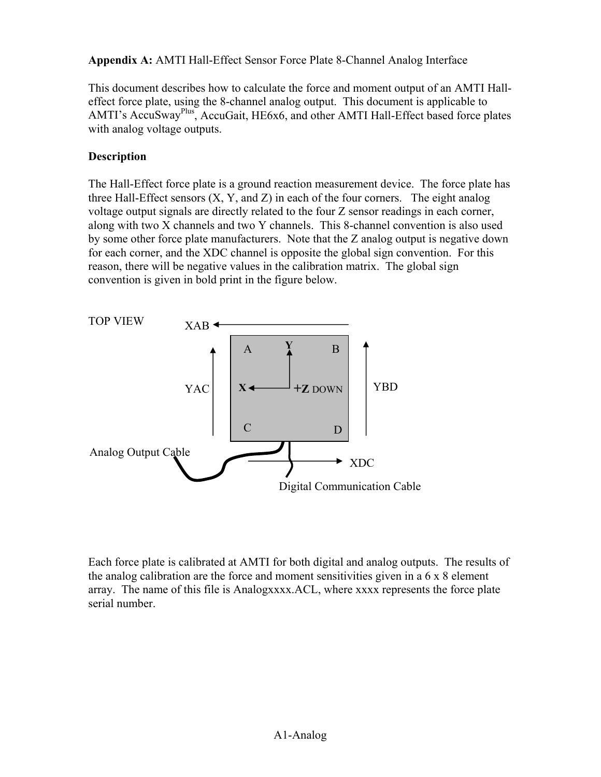**Appendix A:** AMTI Hall-Effect Sensor Force Plate 8-Channel Analog Interface

This document describes how to calculate the force and moment output of an AMTI Halleffect force plate, using the 8-channel analog output. This document is applicable to AMTI's AccuSwayPlus, AccuGait, HE6x6, and other AMTI Hall-Effect based force plates with analog voltage outputs.

# **Description**

The Hall-Effect force plate is a ground reaction measurement device. The force plate has three Hall-Effect sensors  $(X, Y, and Z)$  in each of the four corners. The eight analog voltage output signals are directly related to the four Z sensor readings in each corner, along with two X channels and two Y channels. This 8-channel convention is also used by some other force plate manufacturers. Note that the Z analog output is negative down for each corner, and the XDC channel is opposite the global sign convention. For this reason, there will be negative values in the calibration matrix. The global sign convention is given in bold print in the figure below.



Each force plate is calibrated at AMTI for both digital and analog outputs. The results of the analog calibration are the force and moment sensitivities given in a  $6 \times 8$  element array. The name of this file is Analogxxxx.ACL, where xxxx represents the force plate serial number.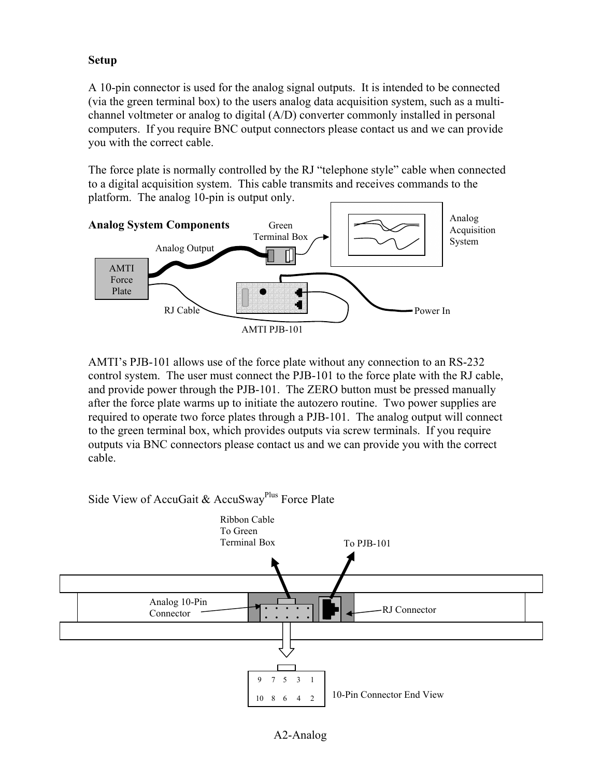# **Setup**

A 10-pin connector is used for the analog signal outputs. It is intended to be connected (via the green terminal box) to the users analog data acquisition system, such as a multichannel voltmeter or analog to digital (A/D) converter commonly installed in personal computers. If you require BNC output connectors please contact us and we can provide you with the correct cable.

The force plate is normally controlled by the RJ "telephone style" cable when connected to a digital acquisition system. This cable transmits and receives commands to the platform. The analog 10-pin is output only.



AMTI's PJB-101 allows use of the force plate without any connection to an RS-232 control system. The user must connect the PJB-101 to the force plate with the RJ cable, and provide power through the PJB-101. The ZERO button must be pressed manually after the force plate warms up to initiate the autozero routine. Two power supplies are required to operate two force plates through a PJB-101. The analog output will connect to the green terminal box, which provides outputs via screw terminals. If you require outputs via BNC connectors please contact us and we can provide you with the correct cable.

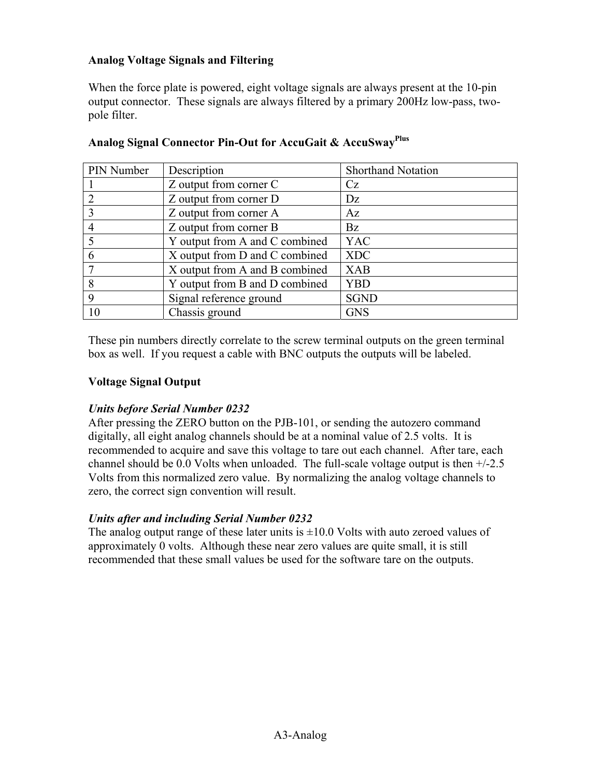## **Analog Voltage Signals and Filtering**

When the force plate is powered, eight voltage signals are always present at the 10-pin output connector. These signals are always filtered by a primary 200Hz low-pass, twopole filter.

| PIN Number | Description                    | <b>Shorthand Notation</b> |
|------------|--------------------------------|---------------------------|
|            | Z output from corner C         | Cz                        |
|            | Z output from corner D         | Dz                        |
|            | Z output from corner A         | Az                        |
|            | Z output from corner B         | Bz                        |
|            | Y output from A and C combined | <b>YAC</b>                |
| 6          | X output from D and C combined | <b>XDC</b>                |
|            | X output from A and B combined | <b>XAB</b>                |
| 8          | Y output from B and D combined | <b>YBD</b>                |
| 9          | Signal reference ground        | <b>SGND</b>               |
|            | Chassis ground                 | <b>GNS</b>                |

## **Analog Signal Connector Pin-Out for AccuGait & AccuSwayPlus**

These pin numbers directly correlate to the screw terminal outputs on the green terminal box as well. If you request a cable with BNC outputs the outputs will be labeled.

#### **Voltage Signal Output**

#### *Units before Serial Number 0232*

After pressing the ZERO button on the PJB-101, or sending the autozero command digitally, all eight analog channels should be at a nominal value of 2.5 volts. It is recommended to acquire and save this voltage to tare out each channel. After tare, each channel should be 0.0 Volts when unloaded. The full-scale voltage output is then +/-2.5 Volts from this normalized zero value. By normalizing the analog voltage channels to zero, the correct sign convention will result.

#### *Units after and including Serial Number 0232*

The analog output range of these later units is  $\pm 10.0$  Volts with auto zeroed values of approximately 0 volts. Although these near zero values are quite small, it is still recommended that these small values be used for the software tare on the outputs.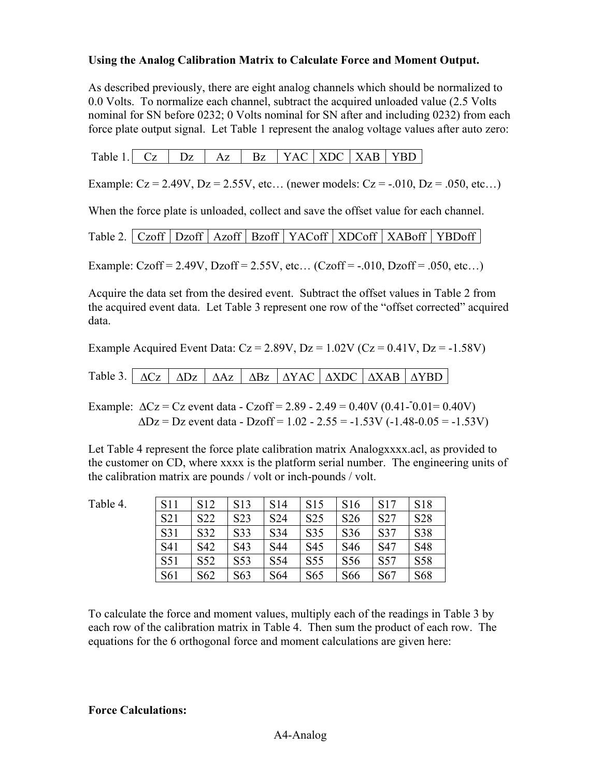#### **Using the Analog Calibration Matrix to Calculate Force and Moment Output.**

As described previously, there are eight analog channels which should be normalized to 0.0 Volts. To normalize each channel, subtract the acquired unloaded value (2.5 Volts nominal for SN before 0232; 0 Volts nominal for SN after and including 0232) from each force plate output signal. Let Table 1 represent the analog voltage values after auto zero:

| Table 1. |  |  | $Az$ $Bz$ |  |  |  | $\vert$ YAC $\vert$ XDC $\vert$ XAB $\vert$ YBD |  |
|----------|--|--|-----------|--|--|--|-------------------------------------------------|--|
|----------|--|--|-----------|--|--|--|-------------------------------------------------|--|

Example:  $Cz = 2.49V$ ,  $Dz = 2.55V$ , etc... (newer models:  $Cz = -0.010$ ,  $Dz = 0.050$ , etc...)

When the force plate is unloaded, collect and save the offset value for each channel.

Table 2. | Czoff | Dzoff | Azoff | Bzoff | YACoff | XDCoff | XABoff | YBDoff |

Example: Czoff = 2.49V, Dzoff = 2.55V, etc... (Czoff =  $-0.010$ , Dzoff =  $.050$ , etc...)

Acquire the data set from the desired event. Subtract the offset values in Table 2 from the acquired event data. Let Table 3 represent one row of the "offset corrected" acquired data.

Example Acquired Event Data:  $Cz = 2.89V$ ,  $Dz = 1.02V$  ( $Cz = 0.41V$ ,  $Dz = -1.58V$ )

| Table 3. $\Delta C_z$ $\Delta D_z$ $\Delta Az$ $\Delta B_z$ $\Delta YAC$ $\Delta XDC$ $\Delta XAB$ $\Delta YBD$ |  |  |  |  |  |  |  |  |  |
|-----------------------------------------------------------------------------------------------------------------|--|--|--|--|--|--|--|--|--|
|-----------------------------------------------------------------------------------------------------------------|--|--|--|--|--|--|--|--|--|

Example:  $\Delta$ Cz = Cz event data - Czoff = 2.89 - 2.49 = 0.40V (0.41-<sup>-</sup>0.01 = 0.40V)  $\Delta$ Dz = Dz event data - Dzoff = 1.02 - 2.55 = -1.53V (-1.48-0.05 = -1.53V)

Let Table 4 represent the force plate calibration matrix Analogxxxx.acl, as provided to the customer on CD, where xxxx is the platform serial number. The engineering units of the calibration matrix are pounds / volt or inch-pounds / volt.

| <b>S11</b>      | S <sub>12</sub> | S <sub>13</sub>  | S <sub>14</sub> | S <sub>15</sub> | S <sub>16</sub> | S17             | <b>S18</b>      |
|-----------------|-----------------|------------------|-----------------|-----------------|-----------------|-----------------|-----------------|
| S <sub>21</sub> | S <sub>22</sub> | S <sub>2</sub> 3 | S <sub>24</sub> | S <sub>25</sub> | S <sub>26</sub> | S <sub>27</sub> | S <sub>28</sub> |
| S31             | S32             | S33              | S34             | S35             | S <sub>36</sub> | S37             | S38             |
| S41             | S42             | S43              | S44             | S <sub>45</sub> | S <sub>46</sub> | S <sub>47</sub> | S48             |
| S <sub>51</sub> | S <sub>52</sub> | S <sub>5</sub> 3 | S <sub>54</sub> | S <sub>55</sub> | S <sub>56</sub> | S <sub>57</sub> | S58             |
| S61             | S <sub>62</sub> | S63              | S <sub>64</sub> | S <sub>65</sub> | S66             | S <sub>67</sub> | S68             |

To calculate the force and moment values, multiply each of the readings in Table 3 by each row of the calibration matrix in Table 4. Then sum the product of each row. The equations for the 6 orthogonal force and moment calculations are given here:

# **Force Calculations:**

Table 4.